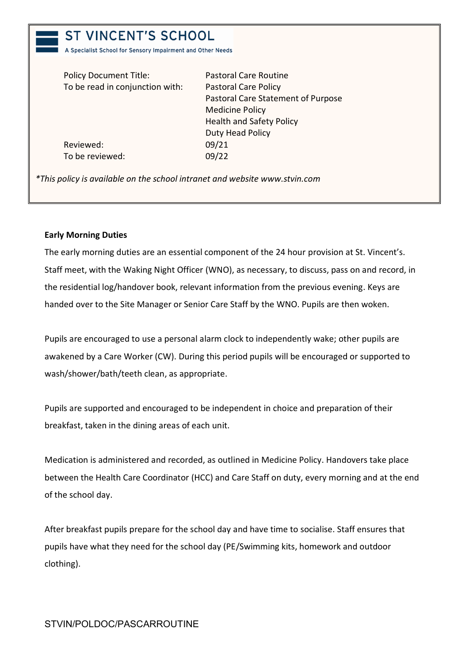# **ST VINCENT'S SCHOOL**

A Specialist School for Sensory Impairment and Other Needs

| <b>Policy Document Title:</b>   | <b>Pastoral Care Routine</b>       |
|---------------------------------|------------------------------------|
| To be read in conjunction with: | <b>Pastoral Care Policy</b>        |
|                                 | Pastoral Care Statement of Purpose |
|                                 | <b>Medicine Policy</b>             |
|                                 | <b>Health and Safety Policy</b>    |
|                                 | Duty Head Policy                   |
| Reviewed:                       | 09/21                              |
| To be reviewed:                 | 09/22                              |
|                                 |                                    |

*\*This policy is available on the school intranet and website www.stvin.com*

# **Early Morning Duties**

The early morning duties are an essential component of the 24 hour provision at St. Vincent's. Staff meet, with the Waking Night Officer (WNO), as necessary, to discuss, pass on and record, in the residential log/handover book, relevant information from the previous evening. Keys are handed over to the Site Manager or Senior Care Staff by the WNO. Pupils are then woken.

Pupils are encouraged to use a personal alarm clock to independently wake; other pupils are awakened by a Care Worker (CW). During this period pupils will be encouraged or supported to wash/shower/bath/teeth clean, as appropriate.

Pupils are supported and encouraged to be independent in choice and preparation of their breakfast, taken in the dining areas of each unit.

Medication is administered and recorded, as outlined in Medicine Policy. Handovers take place between the Health Care Coordinator (HCC) and Care Staff on duty, every morning and at the end of the school day.

After breakfast pupils prepare for the school day and have time to socialise. Staff ensures that pupils have what they need for the school day (PE/Swimming kits, homework and outdoor clothing).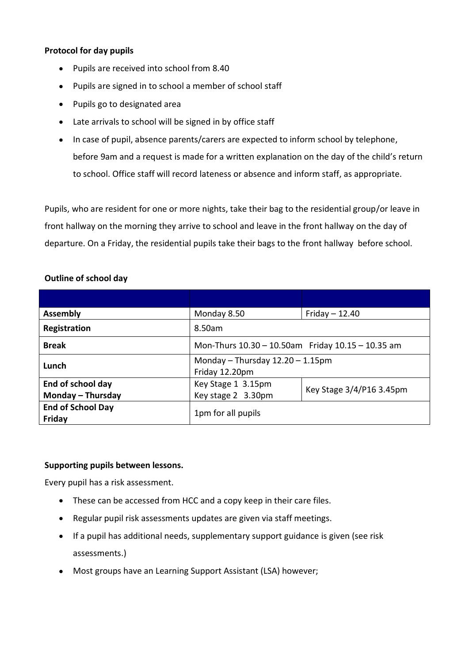# **Protocol for day pupils**

- Pupils are received into school from 8.40
- Pupils are signed in to school a member of school staff
- Pupils go to designated area
- Late arrivals to school will be signed in by office staff
- In case of pupil, absence parents/carers are expected to inform school by telephone, before 9am and a request is made for a written explanation on the day of the child's return to school. Office staff will record lateness or absence and inform staff, as appropriate.

Pupils, who are resident for one or more nights, take their bag to the residential group/or leave in front hallway on the morning they arrive to school and leave in the front hallway on the day of departure. On a Friday, the residential pupils take their bags to the front hallway before school.

# **Outline of school day**

| <b>Assembly</b>                    | Monday 8.50                                             | Friday $- 12.40$         |  |
|------------------------------------|---------------------------------------------------------|--------------------------|--|
| Registration                       | 8.50am                                                  |                          |  |
| <b>Break</b>                       | Mon-Thurs 10.30 - 10.50am Friday 10.15 - 10.35 am       |                          |  |
| Lunch                              | Monday $-$ Thursday $12.20 - 1.15$ pm<br>Friday 12.20pm |                          |  |
| End of school day                  | Key Stage 1 3.15pm                                      | Key Stage 3/4/P16 3.45pm |  |
| Monday - Thursday                  | Key stage 2 3.30pm                                      |                          |  |
| <b>End of School Day</b><br>Friday | 1pm for all pupils                                      |                          |  |

# **Supporting pupils between lessons.**

Every pupil has a risk assessment.

- These can be accessed from HCC and a copy keep in their care files.
- Regular pupil risk assessments updates are given via staff meetings.
- If a pupil has additional needs, supplementary support guidance is given (see risk assessments.)
- Most groups have an Learning Support Assistant (LSA) however;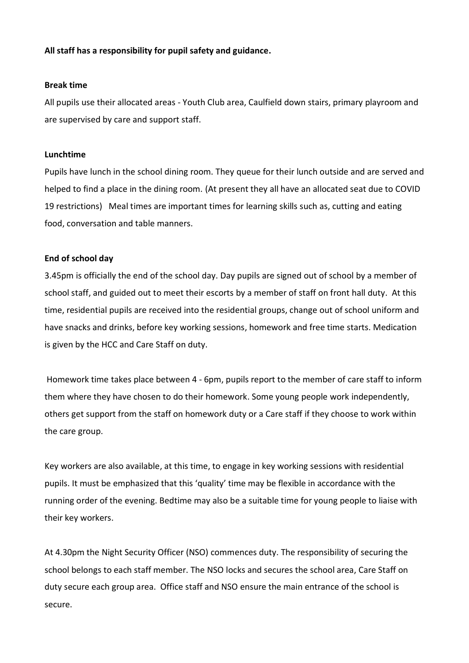# **All staff has a responsibility for pupil safety and guidance.**

#### **Break time**

All pupils use their allocated areas - Youth Club area, Caulfield down stairs, primary playroom and are supervised by care and support staff.

### **Lunchtime**

Pupils have lunch in the school dining room. They queue for their lunch outside and are served and helped to find a place in the dining room. (At present they all have an allocated seat due to COVID 19 restrictions) Meal times are important times for learning skills such as, cutting and eating food, conversation and table manners.

## **End of school day**

3.45pm is officially the end of the school day. Day pupils are signed out of school by a member of school staff, and guided out to meet their escorts by a member of staff on front hall duty. At this time, residential pupils are received into the residential groups, change out of school uniform and have snacks and drinks, before key working sessions, homework and free time starts. Medication is given by the HCC and Care Staff on duty.

Homework time takes place between 4 - 6pm, pupils report to the member of care staff to inform them where they have chosen to do their homework. Some young people work independently, others get support from the staff on homework duty or a Care staff if they choose to work within the care group.

Key workers are also available, at this time, to engage in key working sessions with residential pupils. It must be emphasized that this 'quality' time may be flexible in accordance with the running order of the evening. Bedtime may also be a suitable time for young people to liaise with their key workers.

At 4.30pm the Night Security Officer (NSO) commences duty. The responsibility of securing the school belongs to each staff member. The NSO locks and secures the school area, Care Staff on duty secure each group area. Office staff and NSO ensure the main entrance of the school is secure.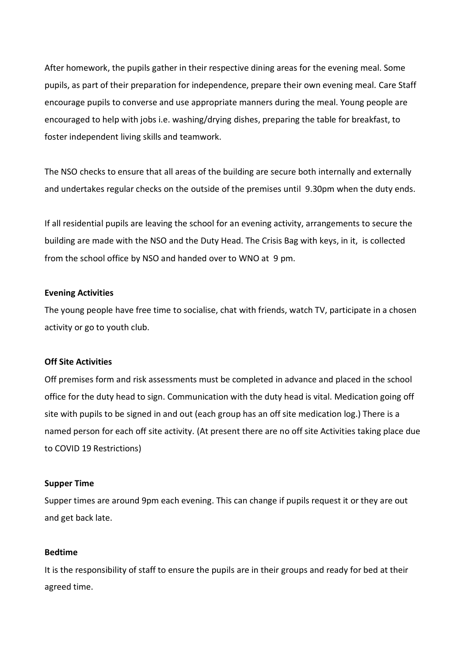After homework, the pupils gather in their respective dining areas for the evening meal. Some pupils, as part of their preparation for independence, prepare their own evening meal. Care Staff encourage pupils to converse and use appropriate manners during the meal. Young people are encouraged to help with jobs i.e. washing/drying dishes, preparing the table for breakfast, to foster independent living skills and teamwork.

The NSO checks to ensure that all areas of the building are secure both internally and externally and undertakes regular checks on the outside of the premises until 9.30pm when the duty ends.

If all residential pupils are leaving the school for an evening activity, arrangements to secure the building are made with the NSO and the Duty Head. The Crisis Bag with keys, in it, is collected from the school office by NSO and handed over to WNO at 9 pm.

#### **Evening Activities**

The young people have free time to socialise, chat with friends, watch TV, participate in a chosen activity or go to youth club.

#### **Off Site Activities**

Off premises form and risk assessments must be completed in advance and placed in the school office for the duty head to sign. Communication with the duty head is vital. Medication going off site with pupils to be signed in and out (each group has an off site medication log.) There is a named person for each off site activity. (At present there are no off site Activities taking place due to COVID 19 Restrictions)

#### **Supper Time**

Supper times are around 9pm each evening. This can change if pupils request it or they are out and get back late.

#### **Bedtime**

It is the responsibility of staff to ensure the pupils are in their groups and ready for bed at their agreed time.